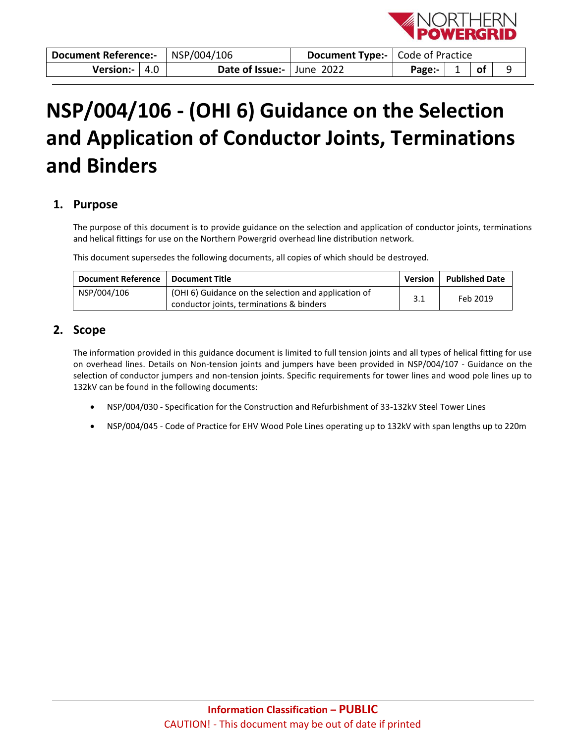

| Document Reference:- |  | NSP/004/106               | <b>Document Type:-</b>   Code of Practice |  |  |
|----------------------|--|---------------------------|-------------------------------------------|--|--|
| Version:- $ 4.0 $    |  | Date of Issue:- June 2022 | Page:- $\vert 1 \vert$ of                 |  |  |

# **NSP/004/106 - (OHI 6) Guidance on the Selection and Application of Conductor Joints, Terminations and Binders**

## <span id="page-0-0"></span>**1. Purpose**

The purpose of this document is to provide guidance on the selection and application of conductor joints, terminations and helical fittings for use on the Northern Powergrid overhead line distribution network.

This document supersedes the following documents, all copies of which should be destroyed.

| <b>Document Reference</b> | <b>Document Title</b>                                                                            | <b>Version</b> | <b>Published Date</b> |
|---------------------------|--------------------------------------------------------------------------------------------------|----------------|-----------------------|
| NSP/004/106               | (OHI 6) Guidance on the selection and application of<br>conductor joints, terminations & binders | 3.1            | Feb 2019              |

## <span id="page-0-1"></span>**2. Scope**

The information provided in this guidance document is limited to full tension joints and all types of helical fitting for use on overhead lines. Details on Non-tension joints and jumpers have been provided in NSP/004/107 - Guidance on the selection of conductor jumpers and non-tension joints. Specific requirements for tower lines and wood pole lines up to 132kV can be found in the following documents:

- NSP/004/030 Specification for the Construction and Refurbishment of 33-132kV Steel Tower Lines
- NSP/004/045 Code of Practice for EHV Wood Pole Lines operating up to 132kV with span lengths up to 220m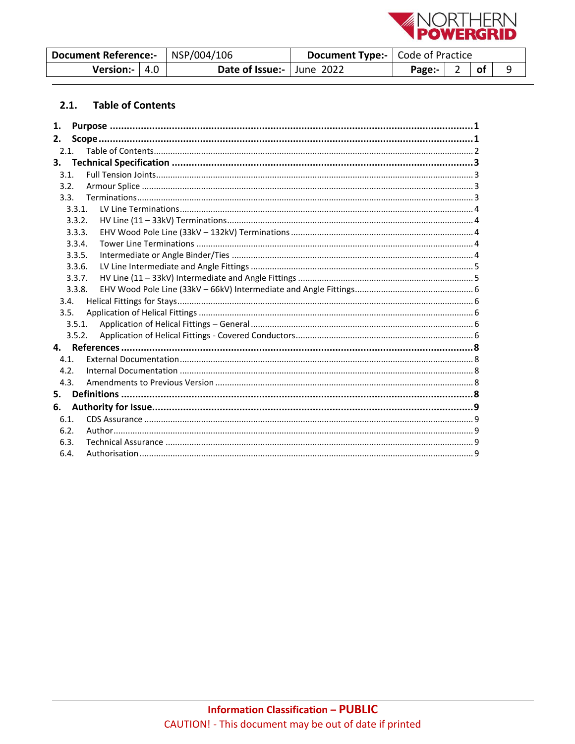

| Document Reference:-   NSP/004/106 |                           | <b>Document Type:-</b>   Code of Practice |                |                          |    |  |
|------------------------------------|---------------------------|-------------------------------------------|----------------|--------------------------|----|--|
| Version:- $ 4.0 $                  | Date of Issue:- June 2022 |                                           | Page:- $\vert$ | $\overline{\phantom{0}}$ | of |  |

#### <span id="page-1-0"></span>**Table of Contents**  $2.1.$

| 1.   |        |  |
|------|--------|--|
| 2.   |        |  |
| 2.1. |        |  |
| 3.   |        |  |
| 3.1. |        |  |
| 3.2. |        |  |
| 3.3. |        |  |
|      | 3.3.1. |  |
|      | 3.3.2. |  |
|      | 3.3.3. |  |
|      | 3.3.4. |  |
|      | 3.3.5. |  |
|      | 3.3.6. |  |
|      | 3.3.7. |  |
|      | 3.3.8. |  |
| 3.4. |        |  |
| 3.5. |        |  |
|      | 3.5.1. |  |
|      | 3.5.2. |  |
|      |        |  |
| 4.1. |        |  |
| 4.2. |        |  |
| 4.3. |        |  |
| 5.   |        |  |
| 6.   |        |  |
| 6.1. |        |  |
| 6.2. |        |  |
| 6.3. |        |  |
| 6.4. |        |  |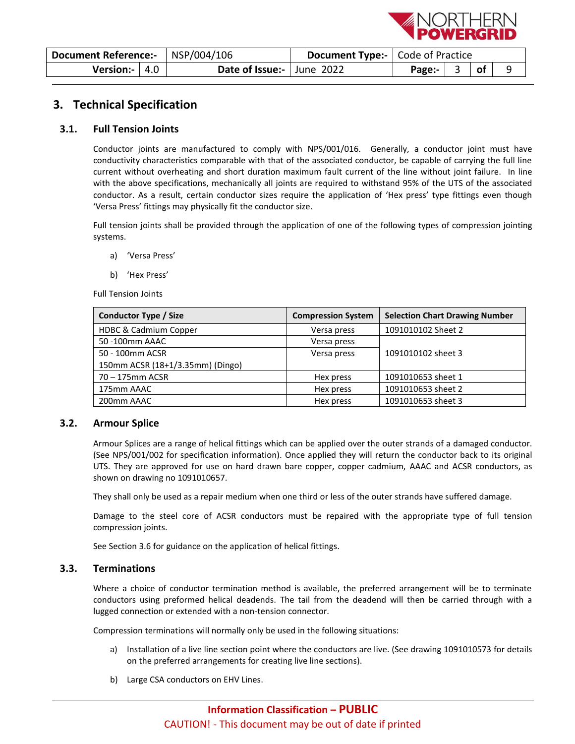

| Document Reference:-   NSP/004/106 |                           | <b>Document Type:-</b>   Code of Practice |  |                             |  |
|------------------------------------|---------------------------|-------------------------------------------|--|-----------------------------|--|
| Version:- $ 4.0$                   | Date of Issue:- June 2022 |                                           |  | $\overline{\phantom{a}}$ of |  |

## <span id="page-2-0"></span>**3. Technical Specification**

#### <span id="page-2-1"></span>**3.1. Full Tension Joints**

Conductor joints are manufactured to comply with NPS/001/016. Generally, a conductor joint must have conductivity characteristics comparable with that of the associated conductor, be capable of carrying the full line current without overheating and short duration maximum fault current of the line without joint failure. In line with the above specifications, mechanically all joints are required to withstand 95% of the UTS of the associated conductor. As a result, certain conductor sizes require the application of 'Hex press' type fittings even though 'Versa Press' fittings may physically fit the conductor size.

Full tension joints shall be provided through the application of one of the following types of compression jointing systems.

- a) 'Versa Press'
- b) 'Hex Press'

Full Tension Joints

| <b>Conductor Type / Size</b>     | <b>Compression System</b> | <b>Selection Chart Drawing Number</b> |
|----------------------------------|---------------------------|---------------------------------------|
| <b>HDBC &amp; Cadmium Copper</b> | Versa press               | 1091010102 Sheet 2                    |
| 50 -100mm AAAC                   | Versa press               |                                       |
| 50 - 100mm ACSR                  | Versa press               | 1091010102 sheet 3                    |
| 150mm ACSR (18+1/3.35mm) (Dingo) |                           |                                       |
| 70 – 175mm ACSR                  | Hex press                 | 1091010653 sheet 1                    |
| 175mm AAAC                       | Hex press                 | 1091010653 sheet 2                    |
| 200mm AAAC                       | Hex press                 | 1091010653 sheet 3                    |

#### <span id="page-2-2"></span>**3.2. Armour Splice**

Armour Splices are a range of helical fittings which can be applied over the outer strands of a damaged conductor. (See NPS/001/002 for specification information). Once applied they will return the conductor back to its original UTS. They are approved for use on hard drawn bare copper, copper cadmium, AAAC and ACSR conductors, as shown on drawing no 1091010657.

They shall only be used as a repair medium when one third or less of the outer strands have suffered damage.

Damage to the steel core of ACSR conductors must be repaired with the appropriate type of full tension compression joints.

See Section 3.6 for guidance on the application of helical fittings.

#### <span id="page-2-3"></span>**3.3. Terminations**

Where a choice of conductor termination method is available, the preferred arrangement will be to terminate conductors using preformed helical deadends. The tail from the deadend will then be carried through with a lugged connection or extended with a non-tension connector.

Compression terminations will normally only be used in the following situations:

- a) Installation of a live line section point where the conductors are live. (See drawing 1091010573 for details on the preferred arrangements for creating live line sections).
- b) Large CSA conductors on EHV Lines.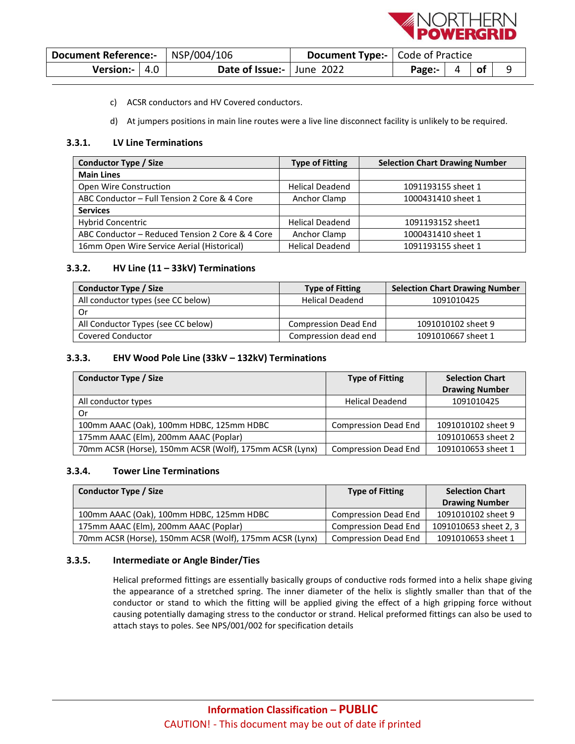

| Document Reference:-   NSP/004/106 |  | <b>Document Type:-</b>   Code of Practice |  |                           |  |  |  |
|------------------------------------|--|-------------------------------------------|--|---------------------------|--|--|--|
| Version:- $ 4.0 $                  |  | Date of Issue:- June 2022                 |  | Page:- $\vert 4 \vert$ of |  |  |  |

- c) ACSR conductors and HV Covered conductors.
- d) At jumpers positions in main line routes were a live line disconnect facility is unlikely to be required.

#### <span id="page-3-0"></span>**3.3.1. LV Line Terminations**

| Conductor Type / Size                           | <b>Type of Fitting</b> | <b>Selection Chart Drawing Number</b> |
|-------------------------------------------------|------------------------|---------------------------------------|
| <b>Main Lines</b>                               |                        |                                       |
| Open Wire Construction                          | <b>Helical Deadend</b> | 1091193155 sheet 1                    |
| ABC Conductor - Full Tension 2 Core & 4 Core    | Anchor Clamp           | 1000431410 sheet 1                    |
| <b>Services</b>                                 |                        |                                       |
| <b>Hybrid Concentric</b>                        | <b>Helical Deadend</b> | 1091193152 sheet1                     |
| ABC Conductor – Reduced Tension 2 Core & 4 Core | Anchor Clamp           | 1000431410 sheet 1                    |
| 16mm Open Wire Service Aerial (Historical)      | <b>Helical Deadend</b> | 1091193155 sheet 1                    |

#### <span id="page-3-1"></span>**3.3.2. HV Line (11 – 33kV) Terminations**

| <b>Conductor Type / Size</b>       | <b>Type of Fitting</b>      | <b>Selection Chart Drawing Number</b> |
|------------------------------------|-----------------------------|---------------------------------------|
| All conductor types (see CC below) | <b>Helical Deadend</b>      | 1091010425                            |
| . Or                               |                             |                                       |
| All Conductor Types (see CC below) | <b>Compression Dead End</b> | 1091010102 sheet 9                    |
| Covered Conductor                  | Compression dead end        | 1091010667 sheet 1                    |

#### <span id="page-3-2"></span>**3.3.3. EHV Wood Pole Line (33kV – 132kV) Terminations**

| <b>Conductor Type / Size</b>                            | <b>Type of Fitting</b>      | <b>Selection Chart</b> |
|---------------------------------------------------------|-----------------------------|------------------------|
|                                                         |                             | <b>Drawing Number</b>  |
| All conductor types                                     | <b>Helical Deadend</b>      | 1091010425             |
| Or                                                      |                             |                        |
| 100mm AAAC (Oak), 100mm HDBC, 125mm HDBC                | <b>Compression Dead End</b> | 1091010102 sheet 9     |
| 175mm AAAC (Elm), 200mm AAAC (Poplar)                   |                             | 1091010653 sheet 2     |
| 70mm ACSR (Horse), 150mm ACSR (Wolf), 175mm ACSR (Lynx) | <b>Compression Dead End</b> | 1091010653 sheet 1     |

#### <span id="page-3-3"></span>**3.3.4. Tower Line Terminations**

| <b>Conductor Type / Size</b>                            | <b>Type of Fitting</b>      | <b>Selection Chart</b> |
|---------------------------------------------------------|-----------------------------|------------------------|
|                                                         |                             | <b>Drawing Number</b>  |
| 100mm AAAC (Oak), 100mm HDBC, 125mm HDBC                | <b>Compression Dead End</b> | 1091010102 sheet 9     |
| 175mm AAAC (Elm), 200mm AAAC (Poplar)                   | Compression Dead End        | 1091010653 sheet 2, 3  |
| 70mm ACSR (Horse), 150mm ACSR (Wolf), 175mm ACSR (Lynx) | Compression Dead End        | 1091010653 sheet 1     |

#### <span id="page-3-4"></span>**3.3.5. Intermediate or Angle Binder/Ties**

Helical preformed fittings are essentially basically groups of conductive rods formed into a helix shape giving the appearance of a stretched spring. The inner diameter of the helix is slightly smaller than that of the conductor or stand to which the fitting will be applied giving the effect of a high gripping force without causing potentially damaging stress to the conductor or strand. Helical preformed fittings can also be used to attach stays to poles. See NPS/001/002 for specification details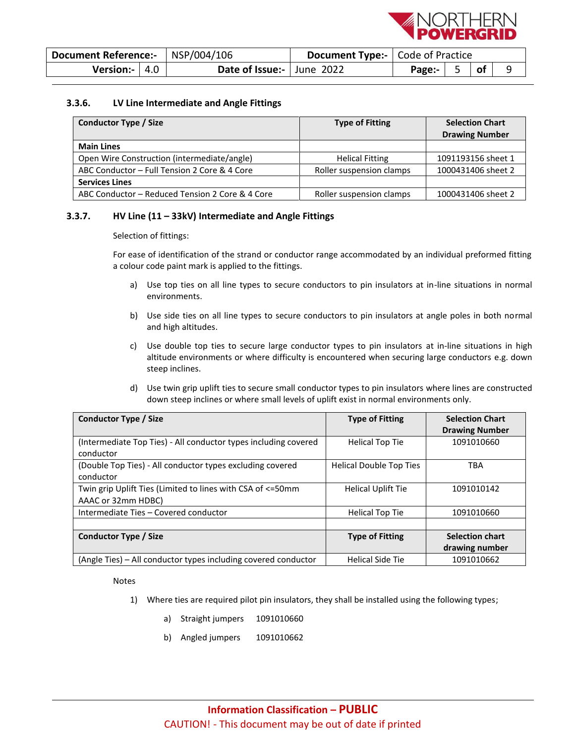

| Document Reference:-   NSP/004/106 |                           | <b>Document Type:-</b> Code of Practice                       |  |  |  |
|------------------------------------|---------------------------|---------------------------------------------------------------|--|--|--|
| Version:- $ 4.0 $                  | Date of Issue:- June 2022 | Page: $\begin{array}{ c c } \hline 5 & \hline \end{array}$ of |  |  |  |

#### <span id="page-4-0"></span>**3.3.6. LV Line Intermediate and Angle Fittings**

| Conductor Type / Size                           | <b>Type of Fitting</b>   | <b>Selection Chart</b><br><b>Drawing Number</b> |
|-------------------------------------------------|--------------------------|-------------------------------------------------|
| <b>Main Lines</b>                               |                          |                                                 |
| Open Wire Construction (intermediate/angle)     | <b>Helical Fitting</b>   | 1091193156 sheet 1                              |
| ABC Conductor - Full Tension 2 Core & 4 Core    | Roller suspension clamps | 1000431406 sheet 2                              |
| <b>Services Lines</b>                           |                          |                                                 |
| ABC Conductor – Reduced Tension 2 Core & 4 Core | Roller suspension clamps | 1000431406 sheet 2                              |

#### <span id="page-4-1"></span>**3.3.7. HV Line (11 – 33kV) Intermediate and Angle Fittings**

Selection of fittings:

For ease of identification of the strand or conductor range accommodated by an individual preformed fitting a colour code paint mark is applied to the fittings.

- a) Use top ties on all line types to secure conductors to pin insulators at in-line situations in normal environments.
- b) Use side ties on all line types to secure conductors to pin insulators at angle poles in both normal and high altitudes.
- c) Use double top ties to secure large conductor types to pin insulators at in-line situations in high altitude environments or where difficulty is encountered when securing large conductors e.g. down steep inclines.
- d) Use twin grip uplift ties to secure small conductor types to pin insulators where lines are constructed down steep inclines or where small levels of uplift exist in normal environments only.

| <b>Conductor Type / Size</b>                                    | <b>Type of Fitting</b>         | <b>Selection Chart</b> |
|-----------------------------------------------------------------|--------------------------------|------------------------|
|                                                                 |                                | <b>Drawing Number</b>  |
| (Intermediate Top Ties) - All conductor types including covered | <b>Helical Top Tie</b>         | 1091010660             |
| conductor                                                       |                                |                        |
| (Double Top Ties) - All conductor types excluding covered       | <b>Helical Double Top Ties</b> | <b>TBA</b>             |
| conductor                                                       |                                |                        |
| Twin grip Uplift Ties (Limited to lines with CSA of <= 50mm     | <b>Helical Uplift Tie</b>      | 1091010142             |
| AAAC or 32mm HDBC)                                              |                                |                        |
| Intermediate Ties - Covered conductor                           | <b>Helical Top Tie</b>         | 1091010660             |
|                                                                 |                                |                        |
| <b>Conductor Type / Size</b>                                    | <b>Type of Fitting</b>         | <b>Selection chart</b> |
|                                                                 |                                | drawing number         |
| (Angle Ties) – All conductor types including covered conductor  | <b>Helical Side Tie</b>        | 1091010662             |

Notes

- 1) Where ties are required pilot pin insulators, they shall be installed using the following types;
	- a) Straight jumpers 1091010660
	- b) Angled jumpers 1091010662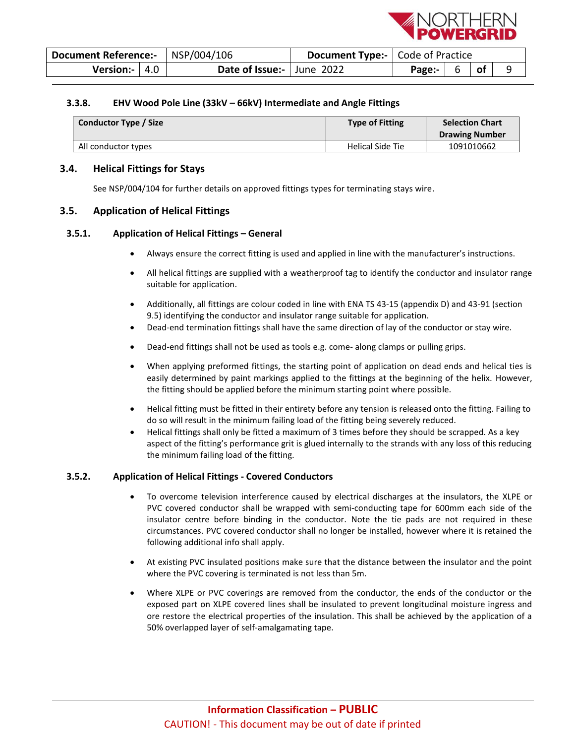

| Document Reference:-   NSP/004/106 |  |                           | <b>Document Type:-</b>   Code of Practice |                                                   |  |    |  |
|------------------------------------|--|---------------------------|-------------------------------------------|---------------------------------------------------|--|----|--|
| Version:- $ 4.0 $                  |  | Date of Issue:- June 2022 |                                           | Page: $\begin{array}{ c c } \hline \end{array}$ 6 |  | of |  |

#### <span id="page-5-0"></span>**3.3.8. EHV Wood Pole Line (33kV – 66kV) Intermediate and Angle Fittings**

| <b>Conductor Type / Size</b> | <b>Type of Fitting</b> | <b>Selection Chart</b><br><b>Drawing Number</b> |
|------------------------------|------------------------|-------------------------------------------------|
| All conductor types          | Helical Side Tie       | 1091010662                                      |

#### <span id="page-5-1"></span>**3.4. Helical Fittings for Stays**

See NSP/004/104 for further details on approved fittings types for terminating stays wire.

#### <span id="page-5-2"></span>**3.5. Application of Helical Fittings**

#### <span id="page-5-3"></span>**3.5.1. Application of Helical Fittings – General**

- Always ensure the correct fitting is used and applied in line with the manufacturer's instructions.
- All helical fittings are supplied with a weatherproof tag to identify the conductor and insulator range suitable for application.
- Additionally, all fittings are colour coded in line with ENA TS 43-15 (appendix D) and 43-91 (section 9.5) identifying the conductor and insulator range suitable for application.
- Dead-end termination fittings shall have the same direction of lay of the conductor or stay wire.
- Dead-end fittings shall not be used as tools e.g. come- along clamps or pulling grips.
- When applying preformed fittings, the starting point of application on dead ends and helical ties is easily determined by paint markings applied to the fittings at the beginning of the helix. However, the fitting should be applied before the minimum starting point where possible.
- Helical fitting must be fitted in their entirety before any tension is released onto the fitting. Failing to do so will result in the minimum failing load of the fitting being severely reduced.
- Helical fittings shall only be fitted a maximum of 3 times before they should be scrapped. As a key aspect of the fitting's performance grit is glued internally to the strands with any loss of this reducing the minimum failing load of the fitting.

#### <span id="page-5-4"></span>**3.5.2. Application of Helical Fittings - Covered Conductors**

- To overcome television interference caused by electrical discharges at the insulators, the XLPE or PVC covered conductor shall be wrapped with semi-conducting tape for 600mm each side of the insulator centre before binding in the conductor. Note the tie pads are not required in these circumstances. PVC covered conductor shall no longer be installed, however where it is retained the following additional info shall apply.
- At existing PVC insulated positions make sure that the distance between the insulator and the point where the PVC covering is terminated is not less than 5m.
- Where XLPE or PVC coverings are removed from the conductor, the ends of the conductor or the exposed part on XLPE covered lines shall be insulated to prevent longitudinal moisture ingress and ore restore the electrical properties of the insulation. This shall be achieved by the application of a 50% overlapped layer of self-amalgamating tape.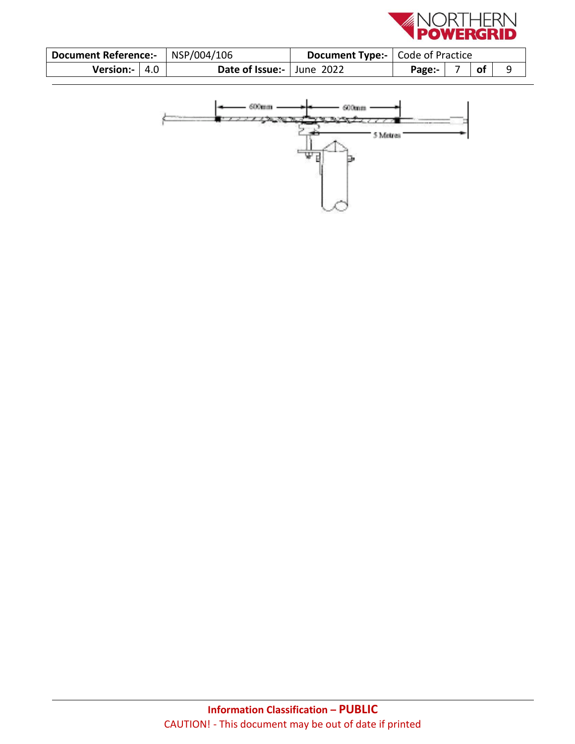

| Document Reference:-   NSP/004/106 |  |                           | <b>Document Type:-</b>   Code of Practice |        |  |    |  |
|------------------------------------|--|---------------------------|-------------------------------------------|--------|--|----|--|
| Version:- $ 4.0 $                  |  | Date of Issue:- June 2022 |                                           | Page:- |  | of |  |

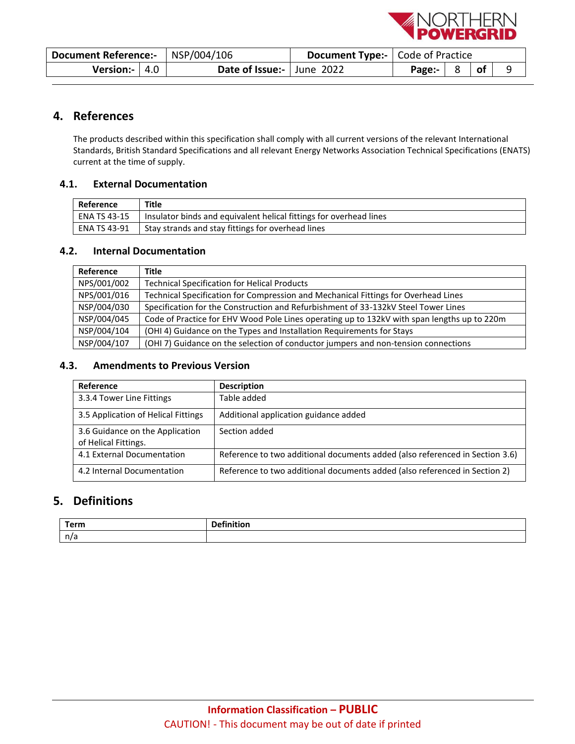

| Document Reference:-   NSP/004/106 |  |                           | <b>Document Type:-</b>   Code of Practice |                                   |  |  |  |
|------------------------------------|--|---------------------------|-------------------------------------------|-----------------------------------|--|--|--|
| Version:- $ 4.0 $                  |  | Date of Issue:- June 2022 |                                           | Page:- $\vert 8 \vert$ of $\vert$ |  |  |  |

## <span id="page-7-0"></span>**4. References**

The products described within this specification shall comply with all current versions of the relevant International Standards, British Standard Specifications and all relevant Energy Networks Association Technical Specifications (ENATS) current at the time of supply.

#### <span id="page-7-1"></span>**4.1. External Documentation**

| Reference      | Title                                                              |
|----------------|--------------------------------------------------------------------|
| LENA TS 43-15  | Insulator binds and equivalent helical fittings for overhead lines |
| l ENA TS 43-91 | Stay strands and stay fittings for overhead lines                  |

#### <span id="page-7-2"></span>**4.2. Internal Documentation**

| Reference   | Title                                                                                       |
|-------------|---------------------------------------------------------------------------------------------|
| NPS/001/002 | <b>Technical Specification for Helical Products</b>                                         |
| NPS/001/016 | Technical Specification for Compression and Mechanical Fittings for Overhead Lines          |
| NSP/004/030 | Specification for the Construction and Refurbishment of 33-132kV Steel Tower Lines          |
| NSP/004/045 | Code of Practice for EHV Wood Pole Lines operating up to 132kV with span lengths up to 220m |
| NSP/004/104 | (OHI 4) Guidance on the Types and Installation Requirements for Stays                       |
| NSP/004/107 | (OHI 7) Guidance on the selection of conductor jumpers and non-tension connections          |

#### <span id="page-7-3"></span>**4.3. Amendments to Previous Version**

| Reference                                               | <b>Description</b>                                                           |
|---------------------------------------------------------|------------------------------------------------------------------------------|
| 3.3.4 Tower Line Fittings                               | Table added                                                                  |
| 3.5 Application of Helical Fittings                     | Additional application guidance added                                        |
| 3.6 Guidance on the Application<br>of Helical Fittings. | Section added                                                                |
| 4.1 External Documentation                              | Reference to two additional documents added (also referenced in Section 3.6) |
| 4.2 Internal Documentation                              | Reference to two additional documents added (also referenced in Section 2)   |

## <span id="page-7-4"></span>**5. Definitions**

| Torm<br><b>CHI</b> |  |
|--------------------|--|
| $\sim$<br>11C      |  |